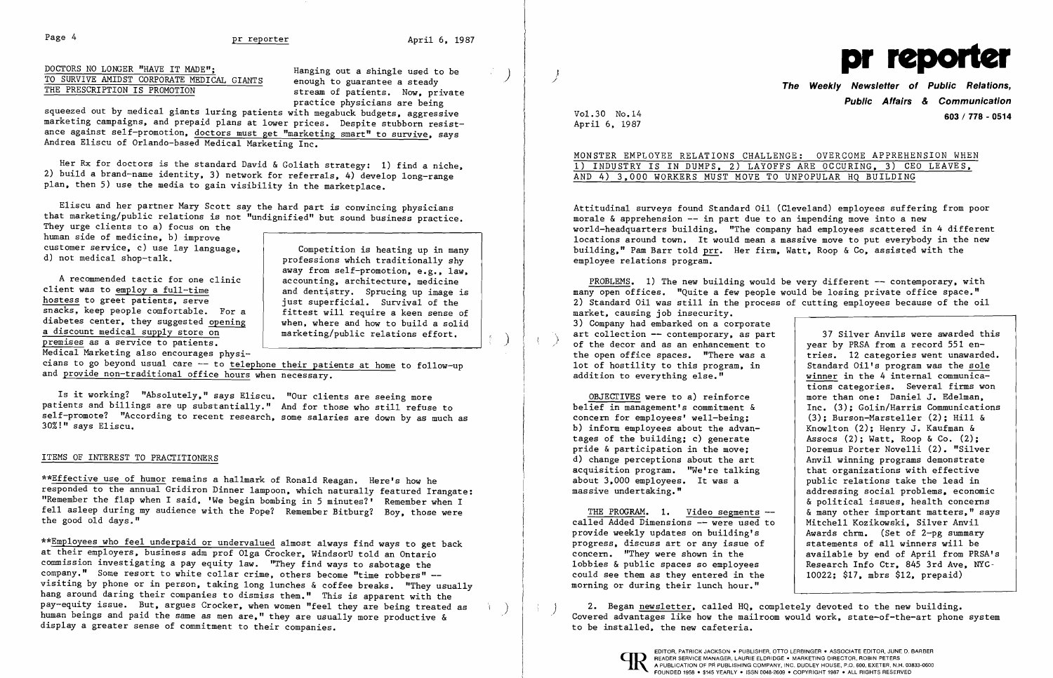Page 4 **pr reporter Page 4 pr reporter April 6, 1987** 

DOCTORS NO LONGER "HAVE IT MADE";<br>TO SURVIVE AMIDST CORPORATE MEDICAL GIANTS enough to guarantee a steady THE PRESCRIPTION IS PROMOTION

enough to guarantee a steady stream of patients. Now, private practice physicians are being

squeezed out by medical giants luring patients with megabuck budgets, aggressive marketing campaigns, and prepaid plans at lower prices. Despite stubborn resistance against self-promotion, doctors must get "marketing smart" to survive, says Andrea Eliscu of Orlando-based Medical Marketing Inc.

Her Rx for doctors is the standard David & Goliath strategy: 1) find a niche, 2) build a brand-name identity, 3) network for referrals, 4) develop long-range plan, then 5) use the media to gain visibility in the marketplace.

Eliscu and her partner Mary Scott say the hard part is convincing physicians that marketing/public relations is not "undignified" but sound business practice.

cians to go beyond usual care -- to telephone their patients at home to follow-up and provide non-traditional office hours when necessary.

They urge clients to a) focus on the human side of medicine, b) improve customer service, c) use lay language,

\*\*Employees who feel underpaid or undervalued almost always find ways to get back at their employers, business adm prof Olga Crocker, WindsorU told an Ontario commission investigating a pay equity law. "They find ways to sabotage the company." Some resort to white collar crime, others become "time robbers" visiting by phone or in person, taking long lunches & coffee breaks. "They usually hang around daring their companies to dismiss them." This is apparent with the<br>pay-equity issue. But, argues Crocker, when women "feel they are being treated as pay-equity issue. But, argues Crocker, when women "feel they are being treated as (excepted) are segan newsletter, called HQ, completely devoted to the new building.<br>human beings and paid the same as men are," they are usu display a greater sense of commitment to their companies.

 Competition is heating up in many d) not medical shop-talk.<br>
professions which traditionally shy away from self-promotion, e.g., law, accounting, architecture, medicine and dentistry. Sprucing up image is just superficial. Survival of the fittest will require a keen sense of when. where and how to build a solid marketing/public relations effort.

A recommended tactic for one clinic client was to employ a full-time hostess to greet patients, serve snacks, keep people comfortable. For a diabetes center, they suggested opening a discount medical supply store on premises as a service to patients. Medical Marketing also encourages physi-

Is it working? "Absolutely," says Eliscu. "Our clients are seeing more patients and billings are up substantially." And for those who still refuse to self-promote? "According to recent research, some salaries are down by as much as 30%!" says Eliscu.

## ITEMS OF INTEREST TO PRACTITIONERS

\*\*Effective use of humor remains a hallmark of Ronald Reagan. Here's how he responded to the annual Gridiron Dinner lampoon, which naturally featured Irangate: "Remember the flap when I said, 'We begin bombing in 5 minutes?' Remember when I fell asleep during my audience with the Pope? Remember Bitburg? Boy, those were the good old days."

progress, discuss art or any issue of<br>concern. "They were shown in the could see them as they entered in the morning or during their lunch hour."



/ **The Weekly Newsletter of Public Relations, Public Affairs & Communication**  Vol-30 No.14 **603/ 778 - <sup>0514</sup>**

April 6, 1987

MONSTER EMPLOYEE RELATIONS CHALLENGE: OVERCOME APPREHENSION WHEN

## 1) INDUSTRY IS IN DUMPS, 2) LAYOFFS ARE OCCURING, 3) CEO LEAVES, AND 4) 3,000 WORKERS MUST MOVE TO UNPOPULAR HQ BUILDING

Attitudinal surveys found Standard Oil (Cleveland) employees suffering from poor morale  $\&$  apprehension  $--$  in part due to an impending move into a new world-headquarters building. "The company had employees scattered in 4 different locations around town. It would mean a massive move to put everybody in the new building," Pam Barr told prr. Her firm, Watt, Roop & Co, assisted with the employee relations program.

PROBLEMS. 1) The new building would be very different -- contemporary, with many open offices. "Quite a few people would be losing private office space." 2) Standard Oil was still in the process of cutting employees because of the oil market, causing job insecurity. 3) Company had embarked on a corporate art collection  $--$  contemporary, as part 37 Silver Anvils were awarded this of the decor and as an enhancement to year by PRSA from a record 551 en-/" of the decor and as an enhancement to year by PRSA from a record 551 enthe open office spaces. "There was a tries. 12 categories went unawarded.<br>10t of hostility to this program, in Standard Oil's program was the sole lot of hostility to this program, in addition to everything else." winner in the 4 internal communications categories. Several firms won OBJECTIVES were to a) reinforce more than one: Daniel J. Edelman,<br>belief in management's commitment & Inc. (3): Golin/Harris Communicati belief in management's commitment & Inc. (3); Golin/Harris Communications<br>
concern for employees' well-being; (3); Burson-Marsteller (2); Hill & (3); Burson-Marsteller (2); Hill & Knowlton (2); Henry J. Kaufman & b) inform employees about the advan-<br>tages of the building; c) generate  $\begin{array}{|l|}\n\hline\n\end{array}$  Assocs (2); Watt, Roop & Co. (2); tages of the building; c) generate <br>
pride & participation in the move; <br>
Doremus Porter Novelli (2). "Silver Anvil winning programs demonstrate<br>that organizations with effective acquisition program. "We're talking  $\begin{array}{c|c} 1 & 1 & 1 \end{array}$  that organizations with effective about 3.000 employees. It was a addressing social problems. economic & political issues, health concerns THE PROGRAM. 1. Video segments --  $\vert$  & many other important matters," says<br>led Added Dimensions -- were used to | Mitchell Kozikowski, Silver Anvil called Added Dimensions -- were used to <br>provide weekly updates on building's Awards chrm. (Set of 2-pg summary provide weekly updates on building's | Awards chrm. (Set of 2-pg summary<br>progress, discuss art or any issue of | statements of all winners will be concern. "They were shown in the available by end of April from PRSA's<br>lobbies & public spaces so employees Research Info Ctr. 845 3rd Ave. NYC-Research Info Ctr, 845 3rd Ave, NYG-10022; \$17, mbrs \$12, prepaid)

pride & participation in the move;<br>d) change perceptions about the art about 3,000 employees. It was a massive undertaking."

READER SERVICE MANAGER, LAURIE ELDRIDGE· MARKETING DIRECTOR, ROBIN PETERS